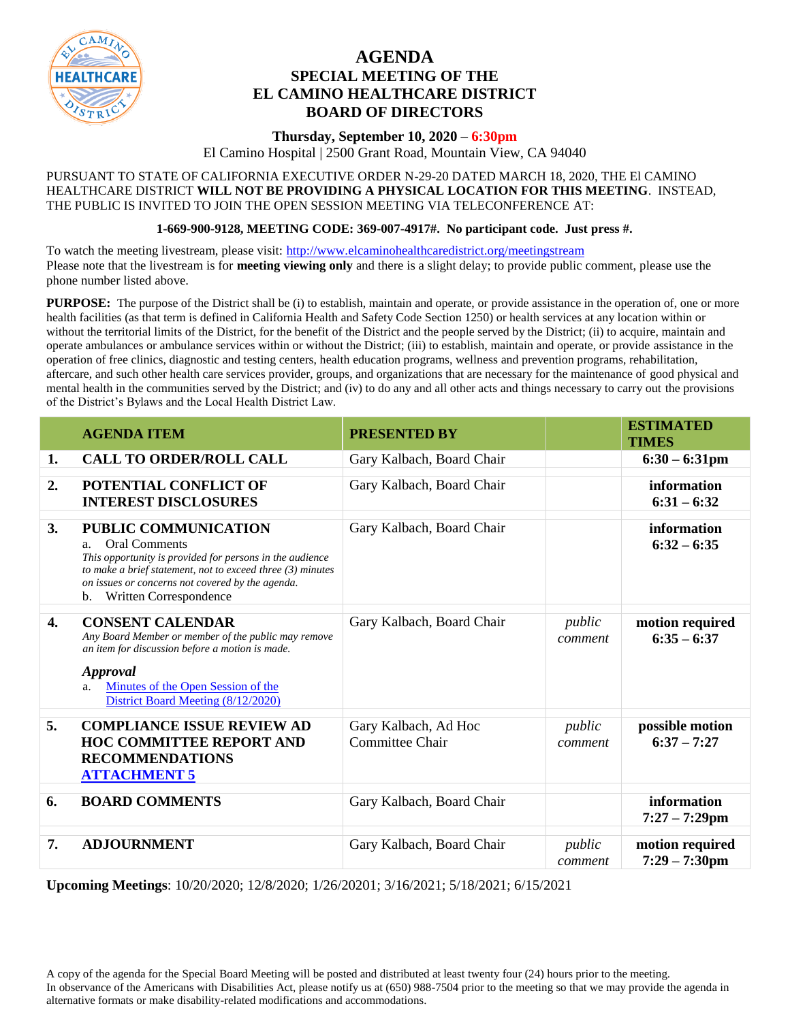

## **AGENDA SPECIAL MEETING OF THE EL CAMINO HEALTHCARE DISTRICT BOARD OF DIRECTORS**

## **Thursday, September 10, 2020 – 6:30pm**

El Camino Hospital | 2500 Grant Road, Mountain View, CA 94040

PURSUANT TO STATE OF CALIFORNIA EXECUTIVE ORDER N-29-20 DATED MARCH 18, 2020, THE El CAMINO HEALTHCARE DISTRICT **WILL NOT BE PROVIDING A PHYSICAL LOCATION FOR THIS MEETING**. INSTEAD, THE PUBLIC IS INVITED TO JOIN THE OPEN SESSION MEETING VIA TELECONFERENCE AT:

**1-669-900-9128, MEETING CODE: 369-007-4917#. No participant code. Just press #.**

To watch the meeting livestream, please visit:<http://www.elcaminohealthcaredistrict.org/meetingstream> Please note that the livestream is for **meeting viewing only** and there is a slight delay; to provide public comment, please use the phone number listed above.

**PURPOSE:** The purpose of the District shall be (i) to establish, maintain and operate, or provide assistance in the operation of, one or more health facilities (as that term is defined in California Health and Safety Code Section 1250) or health services at any location within or without the territorial limits of the District, for the benefit of the District and the people served by the District; (ii) to acquire, maintain and operate ambulances or ambulance services within or without the District; (iii) to establish, maintain and operate, or provide assistance in the operation of free clinics, diagnostic and testing centers, health education programs, wellness and prevention programs, rehabilitation, aftercare, and such other health care services provider, groups, and organizations that are necessary for the maintenance of good physical and mental health in the communities served by the District; and (iv) to do any and all other acts and things necessary to carry out the provisions of the District's Bylaws and the Local Health District Law.

|    | <b>AGENDA ITEM</b>                                                                                                                                                                                                                                                                         | <b>PRESENTED BY</b>                     |                   | <b>ESTIMATED</b><br><b>TIMES</b>           |
|----|--------------------------------------------------------------------------------------------------------------------------------------------------------------------------------------------------------------------------------------------------------------------------------------------|-----------------------------------------|-------------------|--------------------------------------------|
| 1. | <b>CALL TO ORDER/ROLL CALL</b>                                                                                                                                                                                                                                                             | Gary Kalbach, Board Chair               |                   | $6:30 - 6:31$ pm                           |
| 2. | POTENTIAL CONFLICT OF<br><b>INTEREST DISCLOSURES</b>                                                                                                                                                                                                                                       | Gary Kalbach, Board Chair               |                   | information<br>$6:31 - 6:32$               |
| 3. | PUBLIC COMMUNICATION<br><b>Oral Comments</b><br>a <sub>1</sub><br>This opportunity is provided for persons in the audience<br>to make a brief statement, not to exceed three $(3)$ minutes<br>on issues or concerns not covered by the agenda.<br>Written Correspondence<br>$\mathbf{b}$ . | Gary Kalbach, Board Chair               |                   | information<br>$6:32 - 6:35$               |
| 4. | <b>CONSENT CALENDAR</b><br>Any Board Member or member of the public may remove<br>an item for discussion before a motion is made.<br><b>Approval</b><br>Minutes of the Open Session of the<br>a.<br>District Board Meeting (8/12/2020)                                                     | Gary Kalbach, Board Chair               | public<br>comment | motion required<br>$6:35 - 6:37$           |
| 5. | <b>COMPLIANCE ISSUE REVIEW AD</b><br><b>HOC COMMITTEE REPORT AND</b><br><b>RECOMMENDATIONS</b><br><b>ATTACHMENT 5</b>                                                                                                                                                                      | Gary Kalbach, Ad Hoc<br>Committee Chair | public<br>comment | possible motion<br>$6:37 - 7:27$           |
| 6. | <b>BOARD COMMENTS</b>                                                                                                                                                                                                                                                                      | Gary Kalbach, Board Chair               |                   | information<br>$7:27 - 7:29$ pm            |
| 7. | <b>ADJOURNMENT</b>                                                                                                                                                                                                                                                                         | Gary Kalbach, Board Chair               | public<br>comment | motion required<br>$7:29 - 7:30 \text{pm}$ |

**Upcoming Meetings**: 10/20/2020; 12/8/2020; 1/26/20201; 3/16/2021; 5/18/2021; 6/15/2021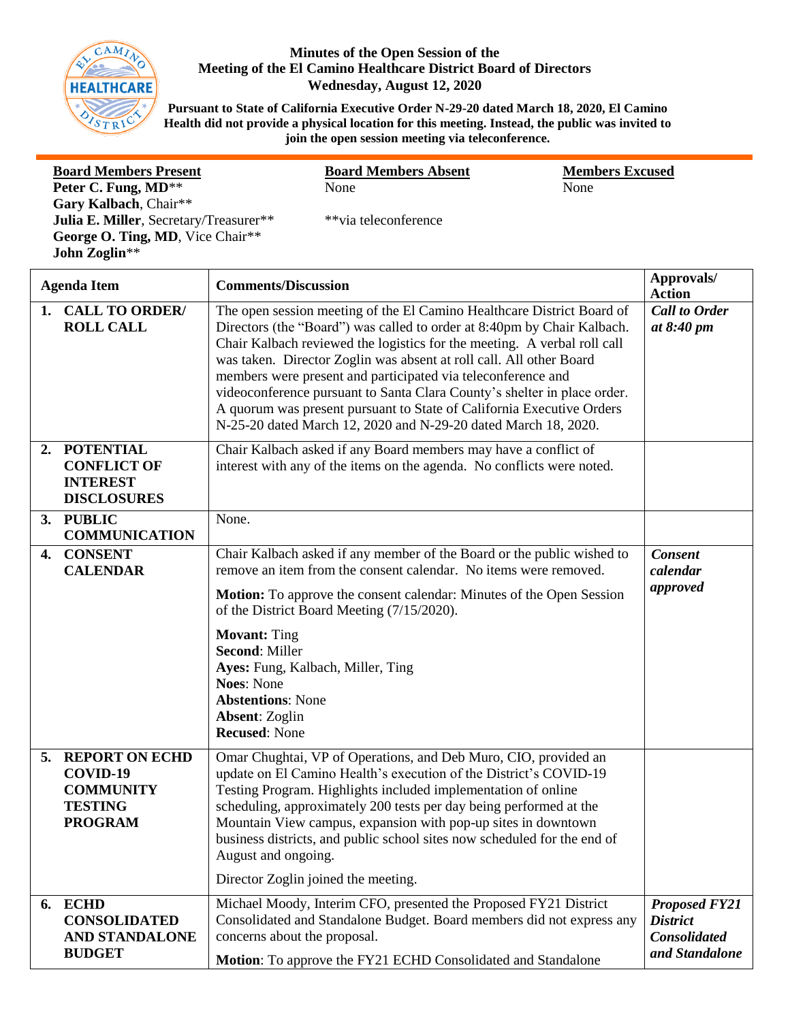<span id="page-1-0"></span>

**AND STANDALONE** 

concerns about the proposal.

**BUDGET**

## **Minutes of the Open Session of the Meeting of the El Camino Healthcare District Board of Directors Wednesday, August 12, 2020**

**Pursuant to State of California Executive Order N-29-20 dated March 18, 2020, El Camino Health did not provide a physical location for this meeting. Instead, the public was invited to join the open session meeting via teleconference.**

| <b>Board Members Present</b><br><b>Board Members Absent</b><br><b>Members Excused</b><br>Peter C. Fung, MD**<br>None<br>None<br>Gary Kalbach, Chair**<br>Julia E. Miller, Secretary/Treasurer**<br>**via teleconference<br>George O. Ting, MD, Vice Chair**<br>John Zoglin** |                                                                                           |                                                                                                                                                                                                                                                                                                                                                                                                                                                                                                                                                                                             |                                         |  |  |
|------------------------------------------------------------------------------------------------------------------------------------------------------------------------------------------------------------------------------------------------------------------------------|-------------------------------------------------------------------------------------------|---------------------------------------------------------------------------------------------------------------------------------------------------------------------------------------------------------------------------------------------------------------------------------------------------------------------------------------------------------------------------------------------------------------------------------------------------------------------------------------------------------------------------------------------------------------------------------------------|-----------------------------------------|--|--|
| <b>Agenda Item</b>                                                                                                                                                                                                                                                           |                                                                                           | <b>Comments/Discussion</b>                                                                                                                                                                                                                                                                                                                                                                                                                                                                                                                                                                  | Approvals/<br><b>Action</b>             |  |  |
|                                                                                                                                                                                                                                                                              | 1. CALL TO ORDER/<br><b>ROLL CALL</b>                                                     | The open session meeting of the El Camino Healthcare District Board of<br>Directors (the "Board") was called to order at 8:40pm by Chair Kalbach.<br>Chair Kalbach reviewed the logistics for the meeting. A verbal roll call<br>was taken. Director Zoglin was absent at roll call. All other Board<br>members were present and participated via teleconference and<br>videoconference pursuant to Santa Clara County's shelter in place order.<br>A quorum was present pursuant to State of California Executive Orders<br>N-25-20 dated March 12, 2020 and N-29-20 dated March 18, 2020. | <b>Call to Order</b><br>at 8:40 pm      |  |  |
|                                                                                                                                                                                                                                                                              | 2. POTENTIAL<br><b>CONFLICT OF</b><br><b>INTEREST</b><br><b>DISCLOSURES</b>               | Chair Kalbach asked if any Board members may have a conflict of<br>interest with any of the items on the agenda. No conflicts were noted.                                                                                                                                                                                                                                                                                                                                                                                                                                                   |                                         |  |  |
|                                                                                                                                                                                                                                                                              | 3. PUBLIC<br><b>COMMUNICATION</b>                                                         | None.                                                                                                                                                                                                                                                                                                                                                                                                                                                                                                                                                                                       |                                         |  |  |
|                                                                                                                                                                                                                                                                              | 4. CONSENT<br><b>CALENDAR</b>                                                             | Chair Kalbach asked if any member of the Board or the public wished to<br>remove an item from the consent calendar. No items were removed.<br><b>Motion:</b> To approve the consent calendar: Minutes of the Open Session<br>of the District Board Meeting (7/15/2020).<br><b>Movant: Ting</b><br><b>Second: Miller</b><br>Ayes: Fung, Kalbach, Miller, Ting<br><b>Noes: None</b><br><b>Abstentions: None</b><br><b>Absent: Zoglin</b>                                                                                                                                                      | <b>Consent</b><br>calendar<br>approved  |  |  |
| 5.                                                                                                                                                                                                                                                                           | <b>REPORT ON ECHD</b><br>COVID-19<br><b>COMMUNITY</b><br><b>TESTING</b><br><b>PROGRAM</b> | <b>Recused: None</b><br>Omar Chughtai, VP of Operations, and Deb Muro, CIO, provided an<br>update on El Camino Health's execution of the District's COVID-19<br>Testing Program. Highlights included implementation of online<br>scheduling, approximately 200 tests per day being performed at the<br>Mountain View campus, expansion with pop-up sites in downtown<br>business districts, and public school sites now scheduled for the end of<br>August and ongoing.<br>Director Zoglin joined the meeting.                                                                              |                                         |  |  |
|                                                                                                                                                                                                                                                                              | 6. ECHD<br><b>CONSOLIDATED</b>                                                            | Michael Moody, Interim CFO, presented the Proposed FY21 District<br>Consolidated and Standalone Budget. Board members did not express any                                                                                                                                                                                                                                                                                                                                                                                                                                                   | <b>Proposed FY21</b><br><b>District</b> |  |  |

**Motion**: To approve the FY21 ECHD Consolidated and Standalone

*Consolidated and Standalone*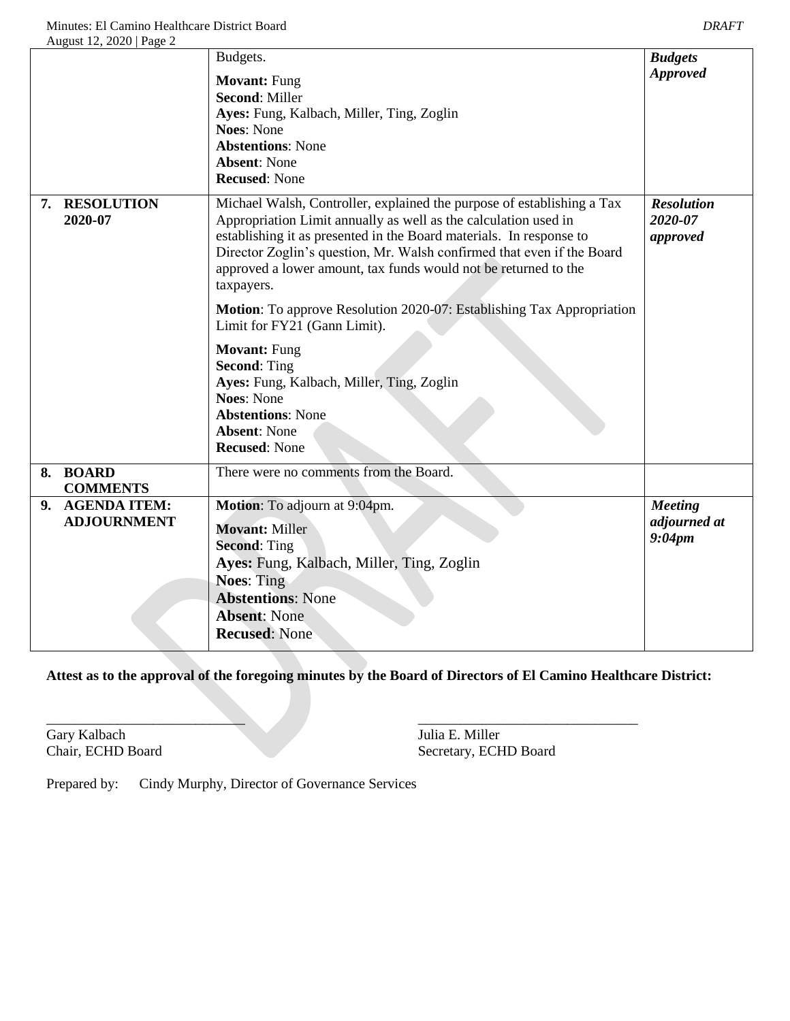|    | August 12, $2020$   Fage 2                | Budgets.<br><b>Movant: Fung</b><br><b>Second: Miller</b><br>Ayes: Fung, Kalbach, Miller, Ting, Zoglin<br><b>Noes: None</b>                                                                                                                                                                                                                                                  | <b>Budgets</b><br><b>Approved</b>           |
|----|-------------------------------------------|-----------------------------------------------------------------------------------------------------------------------------------------------------------------------------------------------------------------------------------------------------------------------------------------------------------------------------------------------------------------------------|---------------------------------------------|
|    |                                           | <b>Abstentions: None</b><br><b>Absent: None</b><br><b>Recused: None</b>                                                                                                                                                                                                                                                                                                     |                                             |
|    | 7. RESOLUTION<br>2020-07                  | Michael Walsh, Controller, explained the purpose of establishing a Tax<br>Appropriation Limit annually as well as the calculation used in<br>establishing it as presented in the Board materials. In response to<br>Director Zoglin's question, Mr. Walsh confirmed that even if the Board<br>approved a lower amount, tax funds would not be returned to the<br>taxpayers. | <b>Resolution</b><br>2020-07<br>approved    |
|    |                                           | Motion: To approve Resolution 2020-07: Establishing Tax Appropriation<br>Limit for FY21 (Gann Limit).                                                                                                                                                                                                                                                                       |                                             |
|    |                                           | <b>Movant: Fung</b><br><b>Second: Ting</b><br>Ayes: Fung, Kalbach, Miller, Ting, Zoglin<br><b>Noes: None</b><br><b>Abstentions: None</b><br><b>Absent: None</b><br><b>Recused: None</b>                                                                                                                                                                                     |                                             |
| 8. | <b>BOARD</b><br><b>COMMENTS</b>           | There were no comments from the Board.                                                                                                                                                                                                                                                                                                                                      |                                             |
| 9. | <b>AGENDA ITEM:</b><br><b>ADJOURNMENT</b> | Motion: To adjourn at 9:04pm.<br><b>Movant: Miller</b><br><b>Second: Ting</b><br>Ayes: Fung, Kalbach, Miller, Ting, Zoglin<br><b>Noes:</b> Ting<br><b>Abstentions: None</b><br><b>Absent: None</b><br><b>Recused: None</b>                                                                                                                                                  | <b>Meeting</b><br>adjourned at<br>$9:04$ pm |

**Attest as to the approval of the foregoing minutes by the Board of Directors of El Camino Healthcare District:**

 $\mathcal{L} = \{ \mathcal{L} \mid \mathcal{L} \in \mathcal{L} \}$  , where  $\mathcal{L} = \{ \mathcal{L} \mid \mathcal{L} \in \mathcal{L} \}$  , where  $\mathcal{L} = \{ \mathcal{L} \mid \mathcal{L} \in \mathcal{L} \}$ 

Gary Kalbach Julia E. Miller

Chair, ECHD Board Secretary, ECHD Board

Prepared by: Cindy Murphy, Director of Governance Services